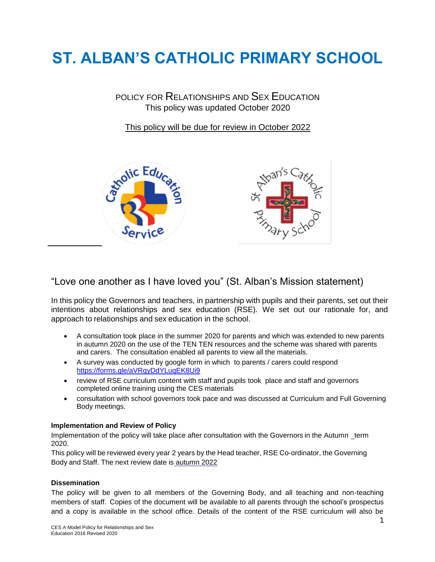# **ST. ALBAN'S CATHOLIC PRIMARY SCHOOL**

POLICY FOR RELATIONSHIPS AND SEX EDUCATION This policy was updated October 2020

This policy will be due for review in October 2022



# "Love one another as I have loved you" (St. Alban's Mission statement)

In this policy the Governors and teachers, in partnership with pupils and their parents, set out their intentions about relationships and sex education (RSE). We set out our rationale for, and approach to relationships and sex education in the school.

- A consultation took place in the summer 2020 for parents and which was extended to new parents in autumn 2020 on the use of the TEN TEN resources and the scheme was shared with parents and carers. The consultation enabled all parents to view all the materials.
- A survey was conducted by google form in which to parents / carers could respond <https://forms.gle/aVRqyDdYLuqEK8Ui9>
- review of RSE curriculum content with staff and pupils took place and staff and governors completed online training using the CES materials
- consultation with school governors took pace and was discussed at Curriculum and Full Governing Body meetings.

#### **Implementation and Review of Policy**

Implementation of the policy will take place after consultation with the Governors in the Autumn term 2020.

This policy will be reviewed every year 2 years by the Head teacher, RSE Co-ordinator, the Governing Body and Staff. The next review date is autumn 2022

#### **Dissemination**

The policy will be given to all members of the Governing Body, and all teaching and non-teaching members of staff. Copies of the document will be available to all parents through the school's prospectus and a copy is available in the school office. Details of the content of the RSE curriculum will also be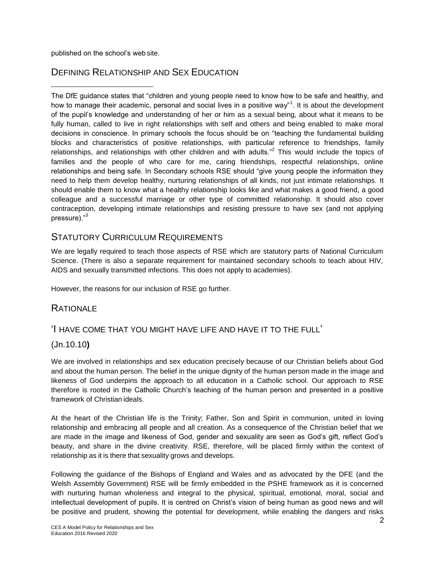published on the school's web site.

# DEFINING RELATIONSHIP AND SEX EDUCATION

The DfE guidance states that "children and young people need to know how to be safe and healthy, and how to manage their academic, personal and social lives in a positive way"<sup>1</sup>. It is about the development of the pupil's knowledge and understanding of her or him as a sexual being, about what it means to be fully human, called to live in right relationships with self and others and being enabled to make moral decisions in conscience. In primary schools the focus should be on "teaching the fundamental building blocks and characteristics of positive relationships, with particular reference to friendships, family relationships, and relationships with other children and with adults."<sup>2</sup> This would include the topics of families and the people of who care for me, caring friendships, respectful relationships, online relationships and being safe. In Secondary schools RSE should "give young people the information they need to help them develop healthy, nurturing relationships of all kinds, not just intimate relationships. It should enable them to know what a healthy relationship looks like and what makes a good friend, a good colleague and a successful marriage or other type of committed relationship. It should also cover contraception, developing intimate relationships and resisting pressure to have sex (and not applying pressure)."<sup>3</sup>

# STATUTORY CURRICULUM REQUIREMENTS

We are legally required to teach those aspects of RSE which are statutory parts of National Curriculum Science. (There is also a separate requirement for maintained secondary schools to teach about HIV, AIDS and sexually transmitted infections. This does not apply to academies).

However, the reasons for our inclusion of RSE go further.

## **RATIONALE**

## 'I HAVE COME THAT YOU MIGHT HAVE LIFE AND HAVE IT TO THE FULL'

## (Jn.10.10**)**

We are involved in relationships and sex education precisely because of our Christian beliefs about God and about the human person. The belief in the unique dignity of the human person made in the image and likeness of God underpins the approach to all education in a Catholic school. Our approach to RSE therefore is rooted in the Catholic Church's teaching of the human person and presented in a positive framework of Christian ideals.

At the heart of the Christian life is the Trinity; Father, Son and Spirit in communion, united in loving relationship and embracing all people and all creation. As a consequence of the Christian belief that we are made in the image and likeness of God, gender and sexuality are seen as God's gift, reflect God's beauty, and share in the divine creativity. RSE, therefore, will be placed firmly within the context of relationship as it is there that sexuality grows and develops.

Following the guidance of the Bishops of England and Wales and as advocated by the DFE (and the Welsh Assembly Government) RSE will be firmly embedded in the PSHE framework as it is concerned with nurturing human wholeness and integral to the physical, spiritual, emotional, moral, social and intellectual development of pupils. It is centred on Christ's vision of being human as good news and will be positive and prudent, showing the potential for development, while enabling the dangers and risks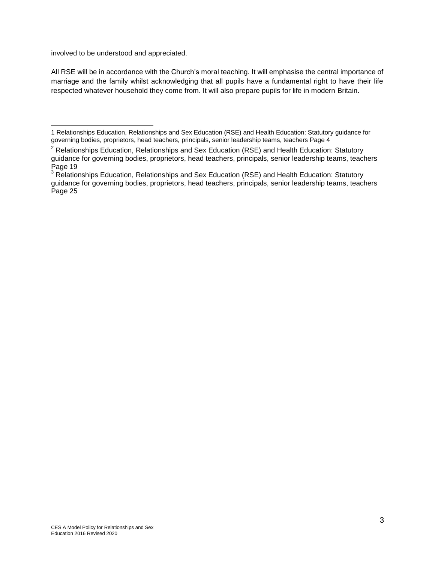involved to be understood and appreciated.

All RSE will be in accordance with the Church's moral teaching. It will emphasise the central importance of marriage and the family whilst acknowledging that all pupils have a fundamental right to have their life respected whatever household they come from. It will also prepare pupils for life in modern Britain.

<sup>1</sup> Relationships Education, Relationships and Sex Education (RSE) and Health Education: Statutory guidance for governing bodies, proprietors, head teachers, principals, senior leadership teams, teachers Page 4

 $2$  Relationships Education, Relationships and Sex Education (RSE) and Health Education: Statutory guidance for governing bodies, proprietors, head teachers, principals, senior leadership teams, teachers Page 19

<sup>&</sup>lt;sup>3</sup> Relationships Education, Relationships and Sex Education (RSE) and Health Education: Statutory guidance for governing bodies, proprietors, head teachers, principals, senior leadership teams, teachers Page 25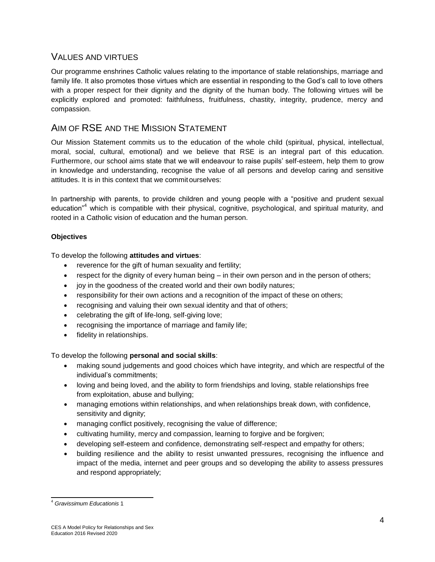## VALUES AND VIRTUES

Our programme enshrines Catholic values relating to the importance of stable relationships, marriage and family life. It also promotes those virtues which are essential in responding to the God's call to love others with a proper respect for their dignity and the dignity of the human body. The following virtues will be explicitly explored and promoted: faithfulness, fruitfulness, chastity, integrity, prudence, mercy and compassion.

# AIM OF RSE AND THE MISSION STATEMENT

Our Mission Statement commits us to the education of the whole child (spiritual, physical, intellectual, moral, social, cultural, emotional) and we believe that RSE is an integral part of this education. Furthermore, our school aims state that we will endeavour to raise pupils' self-esteem, help them to grow in knowledge and understanding, recognise the value of all persons and develop caring and sensitive attitudes. It is in this context that we commit ourselves:

In partnership with parents, to provide children and young people with a "positive and prudent sexual education"<sup>4</sup> which is compatible with their physical, cognitive, psychological, and spiritual maturity, and rooted in a Catholic vision of education and the human person.

## **Objectives**

To develop the following **attitudes and virtues**:

- reverence for the gift of human sexuality and fertility;
- $\bullet$  respect for the dignity of every human being  $-$  in their own person and in the person of others;
- joy in the goodness of the created world and their own bodily natures;
- responsibility for their own actions and a recognition of the impact of these on others;
- recognising and valuing their own sexual identity and that of others;
- celebrating the gift of life-long, self-giving love;
- recognising the importance of marriage and family life;
- fidelity in relationships.

#### To develop the following **personal and social skills**:

- making sound judgements and good choices which have integrity, and which are respectful of the individual's commitments;
- loving and being loved, and the ability to form friendships and loving, stable relationships free from exploitation, abuse and bullying;
- managing emotions within relationships, and when relationships break down, with confidence, sensitivity and dignity;
- managing conflict positively, recognising the value of difference;
- cultivating humility, mercy and compassion, learning to forgive and be forgiven;
- developing self-esteem and confidence, demonstrating self-respect and empathy for others;
- building resilience and the ability to resist unwanted pressures, recognising the influence and impact of the media, internet and peer groups and so developing the ability to assess pressures and respond appropriately;

<sup>4</sup> *Gravissimum Educationis* 1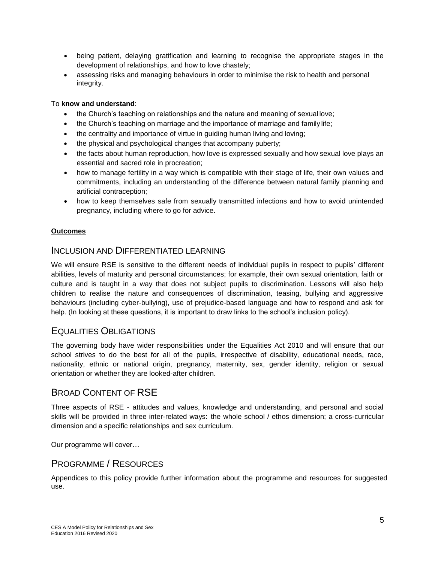- being patient, delaying gratification and learning to recognise the appropriate stages in the development of relationships, and how to love chastely;
- assessing risks and managing behaviours in order to minimise the risk to health and personal integrity.

#### To **know and understand**:

- the Church's teaching on relationships and the nature and meaning of sexual love;
- the Church's teaching on marriage and the importance of marriage and family life;
- the centrality and importance of virtue in guiding human living and loving;
- the physical and psychological changes that accompany puberty;
- the facts about human reproduction, how love is expressed sexually and how sexual love plays an essential and sacred role in procreation;
- how to manage fertility in a way which is compatible with their stage of life, their own values and commitments, including an understanding of the difference between natural family planning and artificial contraception;
- how to keep themselves safe from sexually transmitted infections and how to avoid unintended pregnancy, including where to go for advice.

#### **Outcomes**

## INCLUSION AND DIFFERENTIATED LEARNING

We will ensure RSE is sensitive to the different needs of individual pupils in respect to pupils' different abilities, levels of maturity and personal circumstances; for example, their own sexual orientation, faith or culture and is taught in a way that does not subject pupils to discrimination. Lessons will also help children to realise the nature and consequences of discrimination, teasing, bullying and aggressive behaviours (including cyber-bullying), use of prejudice-based language and how to respond and ask for help. (In looking at these questions, it is important to draw links to the school's inclusion policy).

## EQUALITIES OBLIGATIONS

The governing body have wider responsibilities under the Equalities Act 2010 and will ensure that our school strives to do the best for all of the pupils, irrespective of disability, educational needs, race, nationality, ethnic or national origin, pregnancy, maternity, sex, gender identity, religion or sexual orientation or whether they are looked-after children.

# BROAD CONTENT OF RSE

Three aspects of RSE - attitudes and values, knowledge and understanding, and personal and social skills will be provided in three inter-related ways: the whole school / ethos dimension; a cross-curricular dimension and a specific relationships and sex curriculum.

Our programme will cover…

## PROGRAMME / RESOURCES

Appendices to this policy provide further information about the programme and resources for suggested use.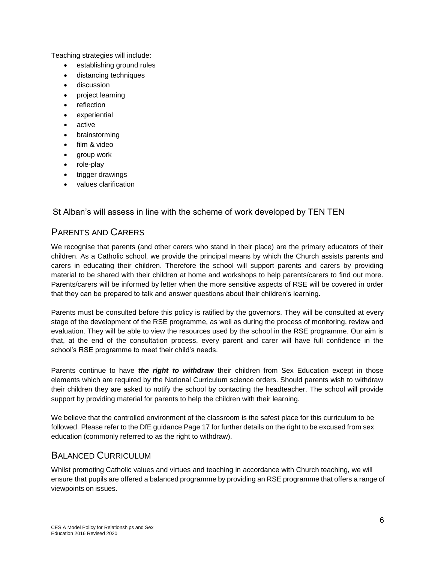Teaching strategies will include:

- establishing ground rules
- distancing techniques
- discussion
- project learning
- reflection
- experiential
- active
- brainstorming
- film & video
- group work
- role-play
- trigger drawings
- values clarification

St Alban's will assess in line with the scheme of work developed by TEN TEN

## PARENTS AND CARERS

We recognise that parents (and other carers who stand in their place) are the primary educators of their children. As a Catholic school, we provide the principal means by which the Church assists parents and carers in educating their children. Therefore the school will support parents and carers by providing material to be shared with their children at home and workshops to help parents/carers to find out more. Parents/carers will be informed by letter when the more sensitive aspects of RSE will be covered in order that they can be prepared to talk and answer questions about their children's learning.

Parents must be consulted before this policy is ratified by the governors. They will be consulted at every stage of the development of the RSE programme, as well as during the process of monitoring, review and evaluation. They will be able to view the resources used by the school in the RSE programme. Our aim is that, at the end of the consultation process, every parent and carer will have full confidence in the school's RSE programme to meet their child's needs.

Parents continue to have *the right to withdraw* their children from Sex Education except in those elements which are required by the National Curriculum science orders. Should parents wish to withdraw their children they are asked to notify the school by contacting the headteacher. The school will provide support by providing material for parents to help the children with their learning.

We believe that the controlled environment of the classroom is the safest place for this curriculum to be followed. Please refer to the DfE guidance Page 17 for further details on the right to be excused from sex education (commonly referred to as the right to withdraw).

## BALANCED CURRICULUM

Whilst promoting Catholic values and virtues and teaching in accordance with Church teaching, we will ensure that pupils are offered a balanced programme by providing an RSE programme that offers a range of viewpoints on issues.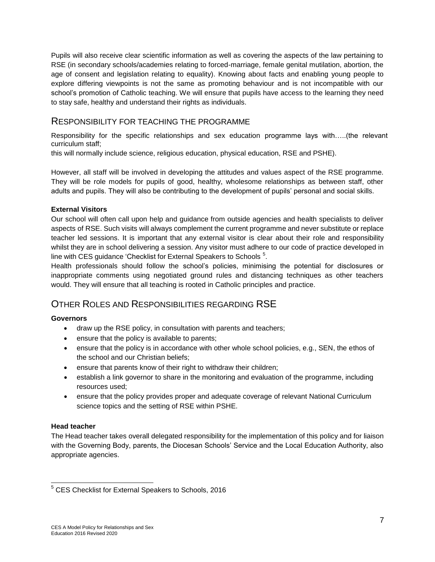Pupils will also receive clear scientific information as well as covering the aspects of the law pertaining to RSE (in secondary schools/academies relating to forced-marriage, female genital mutilation, abortion, the age of consent and legislation relating to equality). Knowing about facts and enabling young people to explore differing viewpoints is not the same as promoting behaviour and is not incompatible with our school's promotion of Catholic teaching. We will ensure that pupils have access to the learning they need to stay safe, healthy and understand their rights as individuals.

## RESPONSIBILITY FOR TEACHING THE PROGRAMME

Responsibility for the specific relationships and sex education programme lays with…..(the relevant curriculum staff;

this will normally include science, religious education, physical education, RSE and PSHE).

However, all staff will be involved in developing the attitudes and values aspect of the RSE programme. They will be role models for pupils of good, healthy, wholesome relationships as between staff, other adults and pupils. They will also be contributing to the development of pupils' personal and social skills.

## **External Visitors**

Our school will often call upon help and guidance from outside agencies and health specialists to deliver aspects of RSE. Such visits will always complement the current programme and never substitute or replace teacher led sessions. It is important that any external visitor is clear about their role and responsibility whilst they are in school delivering a session. Any visitor must adhere to our code of practice developed in line with CES guidance 'Checklist for External Speakers to Schools  $5$ .

Health professionals should follow the school's policies, minimising the potential for disclosures or inappropriate comments using negotiated ground rules and distancing techniques as other teachers would. They will ensure that all teaching is rooted in Catholic principles and practice.

# OTHER ROLES AND RESPONSIBILITIES REGARDING RSE

#### **Governors**

- draw up the RSE policy, in consultation with parents and teachers;
- ensure that the policy is available to parents;
- ensure that the policy is in accordance with other whole school policies, e.g., SEN, the ethos of the school and our Christian beliefs;
- ensure that parents know of their right to withdraw their children;
- establish a link governor to share in the monitoring and evaluation of the programme, including resources used;
- ensure that the policy provides proper and adequate coverage of relevant National Curriculum science topics and the setting of RSE within PSHE.

## **Head teacher**

The Head teacher takes overall delegated responsibility for the implementation of this policy and for liaison with the Governing Body, parents, the Diocesan Schools' Service and the Local Education Authority, also appropriate agencies.

<sup>5</sup> CES Checklist for External Speakers to Schools, 2016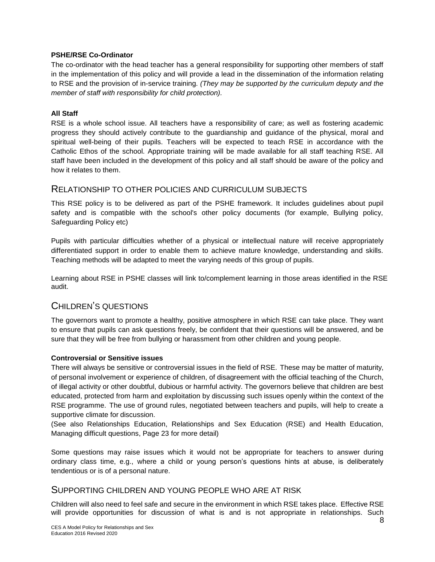#### **PSHE/RSE Co-Ordinator**

The co-ordinator with the head teacher has a general responsibility for supporting other members of staff in the implementation of this policy and will provide a lead in the dissemination of the information relating to RSE and the provision of in-service training. *(They may be supported by the curriculum deputy and the member of staff with responsibility for child protection).*

#### **All Staff**

RSE is a whole school issue. All teachers have a responsibility of care; as well as fostering academic progress they should actively contribute to the guardianship and guidance of the physical, moral and spiritual well-being of their pupils. Teachers will be expected to teach RSE in accordance with the Catholic Ethos of the school. Appropriate training will be made available for all staff teaching RSE. All staff have been included in the development of this policy and all staff should be aware of the policy and how it relates to them.

## RELATIONSHIP TO OTHER POLICIES AND CURRICULUM SUBJECTS

This RSE policy is to be delivered as part of the PSHE framework. It includes guidelines about pupil safety and is compatible with the school's other policy documents (for example, Bullying policy, Safeguarding Policy etc)

Pupils with particular difficulties whether of a physical or intellectual nature will receive appropriately differentiated support in order to enable them to achieve mature knowledge, understanding and skills. Teaching methods will be adapted to meet the varying needs of this group of pupils.

Learning about RSE in PSHE classes will link to/complement learning in those areas identified in the RSE audit.

## CHILDREN'S QUESTIONS

The governors want to promote a healthy, positive atmosphere in which RSE can take place. They want to ensure that pupils can ask questions freely, be confident that their questions will be answered, and be sure that they will be free from bullying or harassment from other children and young people.

#### **Controversial or Sensitive issues**

There will always be sensitive or controversial issues in the field of RSE. These may be matter of maturity, of personal involvement or experience of children, of disagreement with the official teaching of the Church, of illegal activity or other doubtful, dubious or harmful activity. The governors believe that children are best educated, protected from harm and exploitation by discussing such issues openly within the context of the RSE programme. The use of ground rules, negotiated between teachers and pupils, will help to create a supportive climate for discussion.

(See also Relationships Education, Relationships and Sex Education (RSE) and Health Education, Managing difficult questions, Page 23 for more detail)

Some questions may raise issues which it would not be appropriate for teachers to answer during ordinary class time, e.g., where a child or young person's questions hints at abuse, is deliberately tendentious or is of a personal nature.

## SUPPORTING CHILDREN AND YOUNG PEOPLE WHO ARE AT RISK

Children will also need to feel safe and secure in the environment in which RSE takes place. Effective RSE will provide opportunities for discussion of what is and is not appropriate in relationships. Such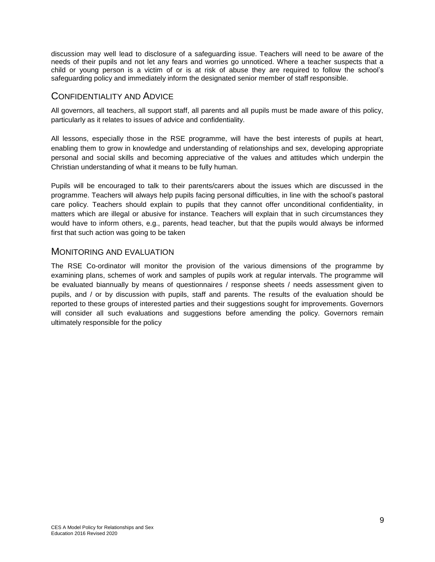discussion may well lead to disclosure of a safeguarding issue. Teachers will need to be aware of the needs of their pupils and not let any fears and worries go unnoticed. Where a teacher suspects that a child or young person is a victim of or is at risk of abuse they are required to follow the school's safeguarding policy and immediately inform the designated senior member of staff responsible.

## CONFIDENTIALITY AND ADVICE

All governors, all teachers, all support staff, all parents and all pupils must be made aware of this policy, particularly as it relates to issues of advice and confidentiality.

All lessons, especially those in the RSE programme, will have the best interests of pupils at heart, enabling them to grow in knowledge and understanding of relationships and sex, developing appropriate personal and social skills and becoming appreciative of the values and attitudes which underpin the Christian understanding of what it means to be fully human.

Pupils will be encouraged to talk to their parents/carers about the issues which are discussed in the programme. Teachers will always help pupils facing personal difficulties, in line with the school's pastoral care policy. Teachers should explain to pupils that they cannot offer unconditional confidentiality, in matters which are illegal or abusive for instance. Teachers will explain that in such circumstances they would have to inform others, e.g., parents, head teacher, but that the pupils would always be informed first that such action was going to be taken

## MONITORING AND EVALUATION

The RSE Co-ordinator will monitor the provision of the various dimensions of the programme by examining plans, schemes of work and samples of pupils work at regular intervals. The programme will be evaluated biannually by means of questionnaires / response sheets / needs assessment given to pupils, and / or by discussion with pupils, staff and parents. The results of the evaluation should be reported to these groups of interested parties and their suggestions sought for improvements. Governors will consider all such evaluations and suggestions before amending the policy. Governors remain ultimately responsible for the policy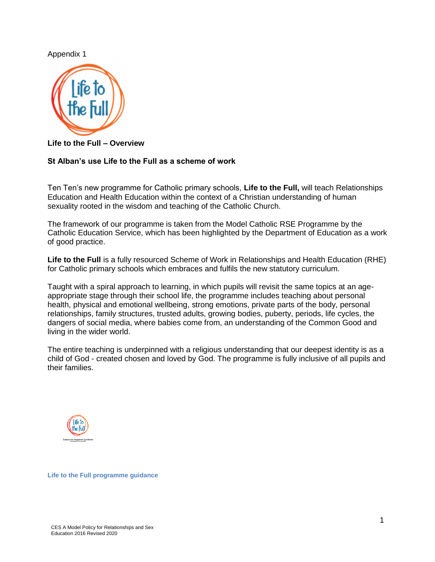## Appendix 1



**Life to the Full – Overview**

## **St Alban's use Life to the Full as a scheme of work**

Ten Ten's new programme for Catholic primary schools, **Life to the Full,** will teach Relationships Education and Health Education within the context of a Christian understanding of human sexuality rooted in the wisdom and teaching of the Catholic Church.

The framework of our programme is taken from the Model Catholic RSE Programme by the Catholic Education Service, which has been highlighted by the Department of Education as a work of good practice.

**Life to the Full** is a fully resourced Scheme of Work in Relationships and Health Education (RHE) for Catholic primary schools which embraces and fulfils the new statutory curriculum.

Taught with a spiral approach to learning, in which pupils will revisit the same topics at an ageappropriate stage through their school life, the programme includes teaching about personal health, physical and emotional wellbeing, strong emotions, private parts of the body, personal relationships, family structures, trusted adults, growing bodies, puberty, periods, life cycles, the dangers of social media, where babies come from, an understanding of the Common Good and living in the wider world.

The entire teaching is underpinned with a religious understanding that our deepest identity is as a child of God - created chosen and loved by God. The programme is fully inclusive of all pupils and their families.



**Life to the Full programme guidance**